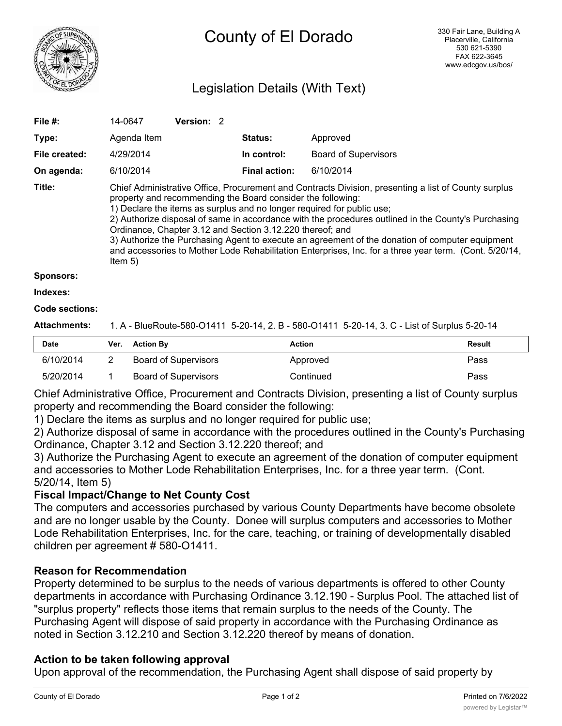

# County of El Dorado

## Legislation Details (With Text)

| File #:       | 14-0647                                                                                                                                                                                                                                                                                                                                                                                                                                                                                                                                                                                                                                     | Version: 2 |  |                      |                             |  |  |
|---------------|---------------------------------------------------------------------------------------------------------------------------------------------------------------------------------------------------------------------------------------------------------------------------------------------------------------------------------------------------------------------------------------------------------------------------------------------------------------------------------------------------------------------------------------------------------------------------------------------------------------------------------------------|------------|--|----------------------|-----------------------------|--|--|
| Type:         | Agenda Item                                                                                                                                                                                                                                                                                                                                                                                                                                                                                                                                                                                                                                 |            |  | <b>Status:</b>       | Approved                    |  |  |
| File created: | 4/29/2014                                                                                                                                                                                                                                                                                                                                                                                                                                                                                                                                                                                                                                   |            |  | In control:          | <b>Board of Supervisors</b> |  |  |
| On agenda:    | 6/10/2014                                                                                                                                                                                                                                                                                                                                                                                                                                                                                                                                                                                                                                   |            |  | <b>Final action:</b> | 6/10/2014                   |  |  |
| Title:        | Chief Administrative Office, Procurement and Contracts Division, presenting a list of County surplus<br>property and recommending the Board consider the following:<br>1) Declare the items as surplus and no longer required for public use;<br>2) Authorize disposal of same in accordance with the procedures outlined in the County's Purchasing<br>Ordinance, Chapter 3.12 and Section 3.12.220 thereof; and<br>3) Authorize the Purchasing Agent to execute an agreement of the donation of computer equipment<br>and accessories to Mother Lode Rehabilitation Enterprises, Inc. for a three year term. (Cont. 5/20/14,<br>Item $5)$ |            |  |                      |                             |  |  |
| Sponsors:     |                                                                                                                                                                                                                                                                                                                                                                                                                                                                                                                                                                                                                                             |            |  |                      |                             |  |  |
| Indexes:      |                                                                                                                                                                                                                                                                                                                                                                                                                                                                                                                                                                                                                                             |            |  |                      |                             |  |  |

# **Code sections:**

### **Attachments:** 1. A - BlueRoute-580-O1411 5-20-14, 2. B - 580-O1411 5-20-14, 3. C - List of Surplus 5-20-14

| <b>Date</b> | Ver. | <b>Action By</b>     | Action    | <b>Result</b> |
|-------------|------|----------------------|-----------|---------------|
| 6/10/2014   |      | Board of Supervisors | Approved  | Pass          |
| 5/20/2014   |      | Board of Supervisors | Continued | Pass          |

Chief Administrative Office, Procurement and Contracts Division, presenting a list of County surplus property and recommending the Board consider the following:

1) Declare the items as surplus and no longer required for public use;

2) Authorize disposal of same in accordance with the procedures outlined in the County's Purchasing Ordinance, Chapter 3.12 and Section 3.12.220 thereof; and

3) Authorize the Purchasing Agent to execute an agreement of the donation of computer equipment and accessories to Mother Lode Rehabilitation Enterprises, Inc. for a three year term. (Cont. 5/20/14, Item 5)

#### **Fiscal Impact/Change to Net County Cost**

The computers and accessories purchased by various County Departments have become obsolete and are no longer usable by the County. Donee will surplus computers and accessories to Mother Lode Rehabilitation Enterprises, Inc. for the care, teaching, or training of developmentally disabled children per agreement # 580-O1411.

#### **Reason for Recommendation**

Property determined to be surplus to the needs of various departments is offered to other County departments in accordance with Purchasing Ordinance 3.12.190 - Surplus Pool. The attached list of "surplus property" reflects those items that remain surplus to the needs of the County. The Purchasing Agent will dispose of said property in accordance with the Purchasing Ordinance as noted in Section 3.12.210 and Section 3.12.220 thereof by means of donation.

#### **Action to be taken following approval**

Upon approval of the recommendation, the Purchasing Agent shall dispose of said property by